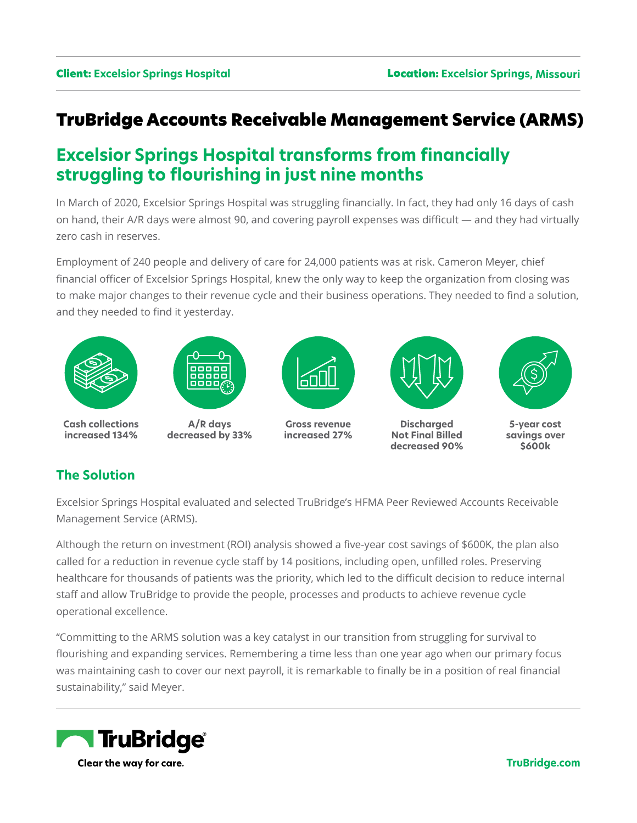## TruBridge Accounts Receivable Management Service (ARMS)

## **Excelsior Springs Hospital transforms from financially struggling to flourishing in just nine months**

In March of 2020, Excelsior Springs Hospital was struggling financially. In fact, they had only 16 days of cash on hand, their A/R days were almost 90, and covering payroll expenses was difficult — and they had virtually zero cash in reserves.

Employment of 240 people and delivery of care for 24,000 patients was at risk. Cameron Meyer, chief financial officer of Excelsior Springs Hospital, knew the only way to keep the organization from closing was to make major changes to their revenue cycle and their business operations. They needed to find a solution, and they needed to find it yesterday.



## **The Solution**

Excelsior Springs Hospital evaluated and selected TruBridge's HFMA Peer Reviewed Accounts Receivable Management Service (ARMS).

Although the return on investment (ROI) analysis showed a five-year cost savings of \$600K, the plan also called for a reduction in revenue cycle staff by 14 positions, including open, unfilled roles. Preserving healthcare for thousands of patients was the priority, which led to the difficult decision to reduce internal staff and allow TruBridge to provide the people, processes and products to achieve revenue cycle operational excellence.

"Committing to the ARMS solution was a key catalyst in our transition from struggling for survival to flourishing and expanding services. Remembering a time less than one year ago when our primary focus was maintaining cash to cover our next payroll, it is remarkable to finally be in a position of real financial sustainability," said Meyer.



**[TruBridge.com](http://www.TruBridge.com)**